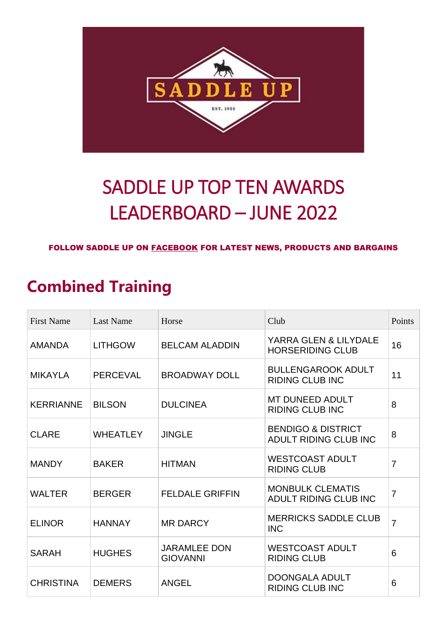

# SADDLE UP TOP TEN AWARDS LEADERBOARD – JUNE 2022

#### FOLLOW SADDLE UP ON [FACEBOOK](https://www.facebook.com/saddleup.com.au/) FOR LATEST NEWS, PRODUCTS AND BARGAINS

### **Combined Training**

| <b>First Name</b> | <b>Last Name</b> | Horse                                  | Club                                                   | Points         |
|-------------------|------------------|----------------------------------------|--------------------------------------------------------|----------------|
| <b>AMANDA</b>     | <b>LITHGOW</b>   | <b>BELCAM ALADDIN</b>                  | YARRA GLEN & LILYDALE<br><b>HORSERIDING CLUB</b>       | 16             |
| <b>MIKAYLA</b>    | <b>PERCEVAL</b>  | <b>BROADWAY DOLL</b>                   | <b>BULLENGAROOK ADULT</b><br><b>RIDING CLUB INC</b>    | 11             |
| <b>KERRIANNE</b>  | <b>BILSON</b>    | <b>DULCINEA</b>                        | <b>MT DUNEED ADULT</b><br><b>RIDING CLUB INC</b>       | 8              |
| <b>CLARE</b>      | <b>WHEATLEY</b>  | <b>JINGLE</b>                          | <b>BENDIGO &amp; DISTRICT</b><br>ADULT RIDING CLUB INC | 8              |
| <b>MANDY</b>      | <b>BAKER</b>     | <b>HITMAN</b>                          | <b>WESTCOAST ADULT</b><br><b>RIDING CLUB</b>           | 7              |
| <b>WALTER</b>     | <b>BERGER</b>    | <b>FELDALE GRIFFIN</b>                 | <b>MONBULK CLEMATIS</b><br>ADULT RIDING CLUB INC       | $\overline{7}$ |
| <b>ELINOR</b>     | <b>HANNAY</b>    | <b>MR DARCY</b>                        | <b>MERRICKS SADDLE CLUB</b><br><b>INC</b>              | $\overline{7}$ |
| <b>SARAH</b>      | <b>HUGHES</b>    | <b>JARAMLEE DON</b><br><b>GIOVANNI</b> | <b>WESTCOAST ADULT</b><br><b>RIDING CLUB</b>           | 6              |
| <b>CHRISTINA</b>  | <b>DEMERS</b>    | <b>ANGEL</b>                           | <b>DOONGALA ADULT</b><br><b>RIDING CLUB INC</b>        | 6              |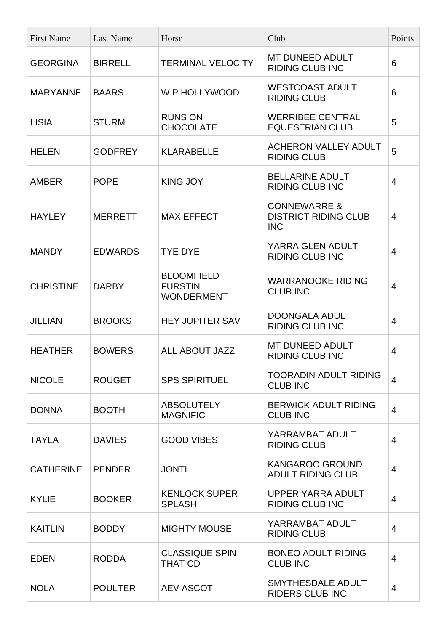| <b>First Name</b> | <b>Last Name</b> | Horse                                                    | Club                                                                 | Points         |
|-------------------|------------------|----------------------------------------------------------|----------------------------------------------------------------------|----------------|
| <b>GEORGINA</b>   | <b>BIRRELL</b>   | <b>TERMINAL VELOCITY</b>                                 | <b>MT DUNEED ADULT</b><br><b>RIDING CLUB INC</b>                     | 6              |
| <b>MARYANNE</b>   | <b>BAARS</b>     | W.P HOLLYWOOD                                            | <b>WESTCOAST ADULT</b><br><b>RIDING CLUB</b>                         | 6              |
| <b>LISIA</b>      | <b>STURM</b>     | <b>RUNS ON</b><br><b>CHOCOLATE</b>                       | <b>WERRIBEE CENTRAL</b><br><b>EQUESTRIAN CLUB</b>                    | 5              |
| <b>HELEN</b>      | <b>GODFREY</b>   | <b>KLARABELLE</b>                                        | <b>ACHERON VALLEY ADULT</b><br><b>RIDING CLUB</b>                    | 5              |
| <b>AMBER</b>      | <b>POPE</b>      | <b>KING JOY</b>                                          | <b>BELLARINE ADULT</b><br><b>RIDING CLUB INC</b>                     | 4              |
| <b>HAYLEY</b>     | <b>MERRETT</b>   | <b>MAX EFFECT</b>                                        | <b>CONNEWARRE &amp;</b><br><b>DISTRICT RIDING CLUB</b><br><b>INC</b> | $\overline{4}$ |
| <b>MANDY</b>      | <b>EDWARDS</b>   | <b>TYE DYE</b>                                           | YARRA GLEN ADULT<br><b>RIDING CLUB INC</b>                           | $\overline{4}$ |
| <b>CHRISTINE</b>  | <b>DARBY</b>     | <b>BLOOMFIELD</b><br><b>FURSTIN</b><br><b>WONDERMENT</b> | <b>WARRANOOKE RIDING</b><br><b>CLUB INC</b>                          | 4              |
| <b>JILLIAN</b>    | <b>BROOKS</b>    | <b>HEY JUPITER SAV</b>                                   | <b>DOONGALA ADULT</b><br><b>RIDING CLUB INC</b>                      | 4              |
| <b>HEATHER</b>    | <b>BOWERS</b>    | ALL ABOUT JAZZ                                           | <b>MT DUNEED ADULT</b><br><b>RIDING CLUB INC</b>                     | 4              |
| <b>NICOLE</b>     | <b>ROUGET</b>    | <b>SPS SPIRITUEL</b>                                     | <b>TOORADIN ADULT RIDING</b><br><b>CLUB INC</b>                      | $\overline{4}$ |
| <b>DONNA</b>      | <b>BOOTH</b>     | <b>ABSOLUTELY</b><br><b>MAGNIFIC</b>                     | <b>BERWICK ADULT RIDING</b><br><b>CLUB INC</b>                       | $\overline{4}$ |
| <b>TAYLA</b>      | <b>DAVIES</b>    | <b>GOOD VIBES</b>                                        | YARRAMBAT ADULT<br><b>RIDING CLUB</b>                                | 4              |
| <b>CATHERINE</b>  | <b>PENDER</b>    | <b>JONTI</b>                                             | <b>KANGAROO GROUND</b><br><b>ADULT RIDING CLUB</b>                   | $\overline{4}$ |
| <b>KYLIE</b>      | <b>BOOKER</b>    | <b>KENLOCK SUPER</b><br><b>SPLASH</b>                    | <b>UPPER YARRA ADULT</b><br><b>RIDING CLUB INC</b>                   | $\overline{4}$ |
| <b>KAITLIN</b>    | <b>BODDY</b>     | <b>MIGHTY MOUSE</b>                                      | YARRAMBAT ADULT<br><b>RIDING CLUB</b>                                | 4              |
| <b>EDEN</b>       | <b>RODDA</b>     | <b>CLASSIQUE SPIN</b><br><b>THAT CD</b>                  | <b>BONEO ADULT RIDING</b><br><b>CLUB INC</b>                         | $\overline{4}$ |
| <b>NOLA</b>       | <b>POULTER</b>   | <b>AEV ASCOT</b>                                         | SMYTHESDALE ADULT<br><b>RIDERS CLUB INC</b>                          | $\overline{4}$ |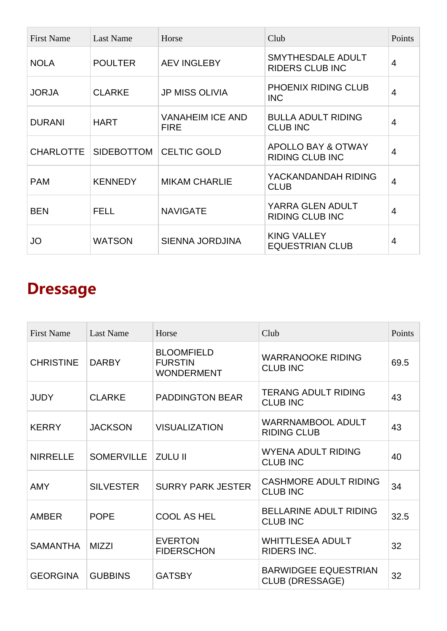| <b>First Name</b> | Last Name         | Horse                                  | Club                                         | Points         |
|-------------------|-------------------|----------------------------------------|----------------------------------------------|----------------|
| <b>NOLA</b>       | <b>POULTER</b>    | <b>AEV INGLEBY</b>                     | SMYTHESDALE ADULT<br><b>RIDERS CLUB INC</b>  | 4              |
| <b>JORJA</b>      | <b>CLARKE</b>     | <b>JP MISS OLIVIA</b>                  | PHOENIX RIDING CLUB<br><b>INC</b>            | 4              |
| <b>DURANI</b>     | <b>HART</b>       | <b>VANAHEIM ICE AND</b><br><b>FIRE</b> | <b>BULLA ADULT RIDING</b><br><b>CLUB INC</b> | 4              |
| <b>CHARLOTTE</b>  | <b>SIDEBOTTOM</b> | <b>CELTIC GOLD</b>                     | APOLLO BAY & OTWAY<br><b>RIDING CLUB INC</b> | 4              |
| <b>PAM</b>        | <b>KENNEDY</b>    | <b>MIKAM CHARLIE</b>                   | YACKANDANDAH RIDING<br><b>CLUB</b>           | 4              |
| <b>BEN</b>        | <b>FELL</b>       | <b>NAVIGATE</b>                        | YARRA GLEN ADULT<br><b>RIDING CLUB INC</b>   | 4              |
| JO                | <b>WATSON</b>     | <b>SIENNA JORDJINA</b>                 | <b>KING VALLEY</b><br><b>EQUESTRIAN CLUB</b> | $\overline{4}$ |

## **Dressage**

| <b>First Name</b> | <b>Last Name</b>  | Horse                                                    | Club                                                  | Points |
|-------------------|-------------------|----------------------------------------------------------|-------------------------------------------------------|--------|
| <b>CHRISTINE</b>  | <b>DARBY</b>      | <b>BLOOMFIELD</b><br><b>FURSTIN</b><br><b>WONDERMENT</b> | <b>WARRANOOKE RIDING</b><br><b>CLUB INC</b>           | 69.5   |
| <b>JUDY</b>       | <b>CLARKE</b>     | <b>PADDINGTON BEAR</b>                                   | <b>TERANG ADULT RIDING</b><br><b>CLUB INC</b>         | 43     |
| <b>KERRY</b>      | <b>JACKSON</b>    | <b>VISUALIZATION</b>                                     | <b>WARRNAMBOOL ADULT</b><br><b>RIDING CLUB</b>        | 43     |
| <b>NIRRELLE</b>   | <b>SOMERVILLE</b> | <b>ZULU II</b>                                           | <b>WYENA ADULT RIDING</b><br><b>CLUB INC</b>          | 40     |
| <b>AMY</b>        | <b>SILVESTER</b>  | <b>SURRY PARK JESTER</b>                                 | <b>CASHMORE ADULT RIDING</b><br><b>CLUB INC</b>       | 34     |
| <b>AMBER</b>      | <b>POPE</b>       | <b>COOL AS HEL</b>                                       | <b>BELLARINE ADULT RIDING</b><br><b>CLUB INC</b>      | 32.5   |
| <b>SAMANTHA</b>   | <b>MIZZI</b>      | <b>EVERTON</b><br><b>FIDERSCHON</b>                      | <b>WHITTLESEA ADULT</b><br><b>RIDERS INC.</b>         | 32     |
| <b>GEORGINA</b>   | <b>GUBBINS</b>    | <b>GATSBY</b>                                            | <b>BARWIDGEE EQUESTRIAN</b><br><b>CLUB (DRESSAGE)</b> | 32     |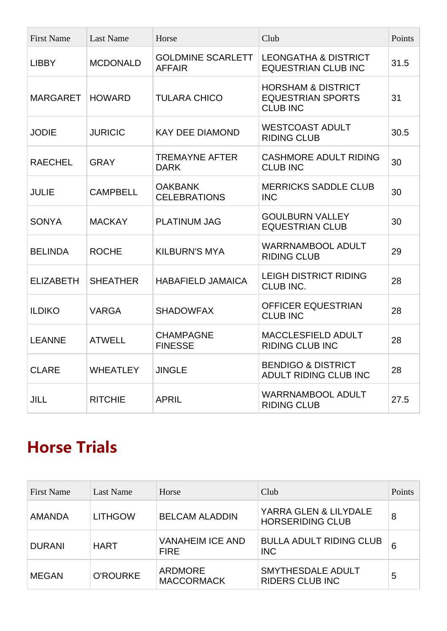| <b>First Name</b> | <b>Last Name</b> | Horse                                     | Club                                                                         | Points |
|-------------------|------------------|-------------------------------------------|------------------------------------------------------------------------------|--------|
| <b>LIBBY</b>      | <b>MCDONALD</b>  | <b>GOLDMINE SCARLETT</b><br><b>AFFAIR</b> | <b>LEONGATHA &amp; DISTRICT</b><br><b>EQUESTRIAN CLUB INC</b>                | 31.5   |
| <b>MARGARET</b>   | <b>HOWARD</b>    | <b>TULARA CHICO</b>                       | <b>HORSHAM &amp; DISTRICT</b><br><b>EQUESTRIAN SPORTS</b><br><b>CLUB INC</b> | 31     |
| <b>JODIE</b>      | <b>JURICIC</b>   | <b>KAY DEE DIAMOND</b>                    | <b>WESTCOAST ADULT</b><br><b>RIDING CLUB</b>                                 | 30.5   |
| <b>RAECHEL</b>    | <b>GRAY</b>      | <b>TREMAYNE AFTER</b><br><b>DARK</b>      | <b>CASHMORE ADULT RIDING</b><br><b>CLUB INC</b>                              | 30     |
| <b>JULIE</b>      | <b>CAMPBELL</b>  | <b>OAKBANK</b><br><b>CELEBRATIONS</b>     | <b>MERRICKS SADDLE CLUB</b><br><b>INC</b>                                    | 30     |
| <b>SONYA</b>      | <b>MACKAY</b>    | <b>PLATINUM JAG</b>                       | <b>GOULBURN VALLEY</b><br><b>EQUESTRIAN CLUB</b>                             | 30     |
| <b>BELINDA</b>    | <b>ROCHE</b>     | <b>KILBURN'S MYA</b>                      | <b>WARRNAMBOOL ADULT</b><br><b>RIDING CLUB</b>                               | 29     |
| <b>ELIZABETH</b>  | <b>SHEATHER</b>  | <b>HABAFIELD JAMAICA</b>                  | <b>LEIGH DISTRICT RIDING</b><br>CLUB INC.                                    | 28     |
| <b>ILDIKO</b>     | <b>VARGA</b>     | <b>SHADOWFAX</b>                          | OFFICER EQUESTRIAN<br><b>CLUB INC</b>                                        | 28     |
| <b>LEANNE</b>     | <b>ATWELL</b>    | <b>CHAMPAGNE</b><br><b>FINESSE</b>        | MACCLESFIELD ADULT<br><b>RIDING CLUB INC</b>                                 | 28     |
| <b>CLARE</b>      | <b>WHEATLEY</b>  | <b>JINGLE</b>                             | <b>BENDIGO &amp; DISTRICT</b><br><b>ADULT RIDING CLUB INC</b>                | 28     |
| <b>JILL</b>       | <b>RITCHIE</b>   | <b>APRIL</b>                              | <b>WARRNAMBOOL ADULT</b><br><b>RIDING CLUB</b>                               | 27.5   |

#### **Horse Trials**

| <b>First Name</b> | Last Name       | Horse                                  | Club                                             | Points |
|-------------------|-----------------|----------------------------------------|--------------------------------------------------|--------|
| <b>AMANDA</b>     | <b>LITHGOW</b>  | <b>BELCAM ALADDIN</b>                  | YARRA GLEN & LILYDALE<br><b>HORSERIDING CLUB</b> | 8      |
| <b>DURANI</b>     | <b>HART</b>     | <b>VANAHEIM ICE AND</b><br><b>FIRE</b> | <b>BULLA ADULT RIDING CLUB</b><br><b>INC</b>     | 6      |
| <b>MEGAN</b>      | <b>O'ROURKE</b> | <b>ARDMORE</b><br><b>MACCORMACK</b>    | SMYTHESDALE ADULT<br><b>RIDERS CLUB INC</b>      | 5      |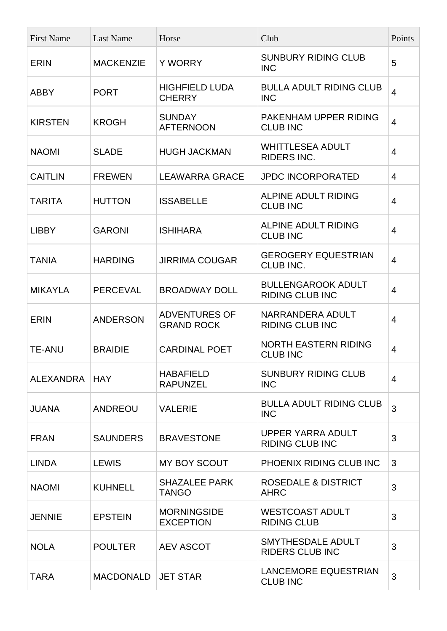| <b>First Name</b> | <b>Last Name</b> | Horse                                     | Club                                                | Points         |
|-------------------|------------------|-------------------------------------------|-----------------------------------------------------|----------------|
| <b>ERIN</b>       | <b>MACKENZIE</b> | <b>Y WORRY</b>                            | <b>SUNBURY RIDING CLUB</b><br><b>INC</b>            | 5              |
| <b>ABBY</b>       | <b>PORT</b>      | <b>HIGHFIELD LUDA</b><br><b>CHERRY</b>    | <b>BULLA ADULT RIDING CLUB</b><br><b>INC</b>        | 4              |
| <b>KIRSTEN</b>    | <b>KROGH</b>     | <b>SUNDAY</b><br><b>AFTERNOON</b>         | PAKENHAM UPPER RIDING<br><b>CLUB INC</b>            | 4              |
| <b>NAOMI</b>      | <b>SLADE</b>     | <b>HUGH JACKMAN</b>                       | <b>WHITTLESEA ADULT</b><br><b>RIDERS INC.</b>       | 4              |
| <b>CAITLIN</b>    | <b>FREWEN</b>    | <b>LEAWARRA GRACE</b>                     | <b>JPDC INCORPORATED</b>                            | $\overline{4}$ |
| <b>TARITA</b>     | <b>HUTTON</b>    | <b>ISSABELLE</b>                          | <b>ALPINE ADULT RIDING</b><br><b>CLUB INC</b>       | 4              |
| <b>LIBBY</b>      | <b>GARONI</b>    | <b>ISHIHARA</b>                           | <b>ALPINE ADULT RIDING</b><br><b>CLUB INC</b>       | 4              |
| <b>TANIA</b>      | <b>HARDING</b>   | <b>JIRRIMA COUGAR</b>                     | <b>GEROGERY EQUESTRIAN</b><br>CLUB INC.             | 4              |
| <b>MIKAYLA</b>    | <b>PERCEVAL</b>  | <b>BROADWAY DOLL</b>                      | <b>BULLENGAROOK ADULT</b><br><b>RIDING CLUB INC</b> | 4              |
| <b>ERIN</b>       | <b>ANDERSON</b>  | <b>ADVENTURES OF</b><br><b>GRAND ROCK</b> | NARRANDERA ADULT<br><b>RIDING CLUB INC</b>          | 4              |
| <b>TE-ANU</b>     | <b>BRAIDIE</b>   | <b>CARDINAL POET</b>                      | <b>NORTH EASTERN RIDING</b><br><b>CLUB INC</b>      | 4              |
| ALEXANDRA         | <b>HAY</b>       | <b>HABAFIELD</b><br><b>RAPUNZEL</b>       | <b>SUNBURY RIDING CLUB</b><br><b>INC</b>            | $\overline{4}$ |
| <b>JUANA</b>      | <b>ANDREOU</b>   | <b>VALERIE</b>                            | <b>BULLA ADULT RIDING CLUB</b><br><b>INC</b>        | 3              |
| <b>FRAN</b>       | <b>SAUNDERS</b>  | <b>BRAVESTONE</b>                         | UPPER YARRA ADULT<br><b>RIDING CLUB INC</b>         | 3              |
| <b>LINDA</b>      | <b>LEWIS</b>     | <b>MY BOY SCOUT</b>                       | PHOENIX RIDING CLUB INC                             | 3              |
| <b>NAOMI</b>      | <b>KUHNELL</b>   | <b>SHAZALEE PARK</b><br><b>TANGO</b>      | <b>ROSEDALE &amp; DISTRICT</b><br><b>AHRC</b>       | 3              |
| <b>JENNIE</b>     | <b>EPSTEIN</b>   | <b>MORNINGSIDE</b><br><b>EXCEPTION</b>    | <b>WESTCOAST ADULT</b><br><b>RIDING CLUB</b>        | 3              |
| <b>NOLA</b>       | <b>POULTER</b>   | <b>AEV ASCOT</b>                          | SMYTHESDALE ADULT<br><b>RIDERS CLUB INC</b>         | 3              |
| <b>TARA</b>       | <b>MACDONALD</b> | <b>JET STAR</b>                           | <b>LANCEMORE EQUESTRIAN</b><br><b>CLUB INC</b>      | 3              |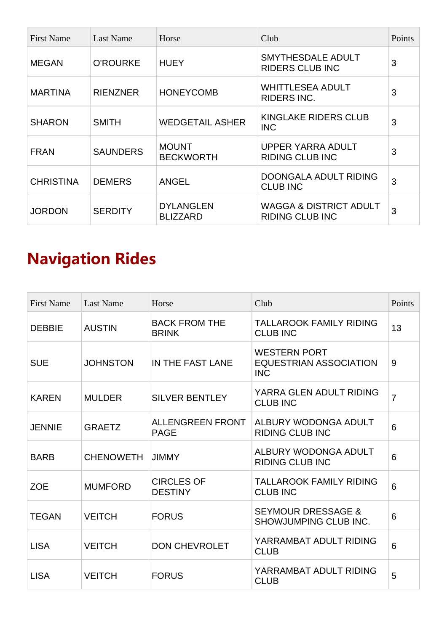| <b>First Name</b> | Last Name       | Horse                               | Club                                                        | Points |
|-------------------|-----------------|-------------------------------------|-------------------------------------------------------------|--------|
| <b>MEGAN</b>      | <b>O'ROURKE</b> | <b>HUEY</b>                         | SMYTHESDALE ADULT<br><b>RIDERS CLUB INC</b>                 | 3      |
| <b>MARTINA</b>    | <b>RIENZNER</b> | <b>HONEYCOMB</b>                    | <b>WHITTLESEA ADULT</b><br><b>RIDERS INC.</b>               | 3      |
| <b>SHARON</b>     | <b>SMITH</b>    | <b>WEDGETAIL ASHER</b>              | KINGLAKE RIDERS CLUB<br><b>INC</b>                          | 3      |
| <b>FRAN</b>       | <b>SAUNDERS</b> | <b>MOUNT</b><br><b>BECKWORTH</b>    | UPPER YARRA ADULT<br><b>RIDING CLUB INC</b>                 | 3      |
| <b>CHRISTINA</b>  | <b>DEMERS</b>   | <b>ANGEL</b>                        | DOONGALA ADULT RIDING<br><b>CLUB INC</b>                    | 3      |
| <b>JORDON</b>     | <b>SERDITY</b>  | <b>DYLANGLEN</b><br><b>BLIZZARD</b> | <b>WAGGA &amp; DISTRICT ADULT</b><br><b>RIDING CLUB INC</b> | 3      |

# **Navigation Rides**

| <b>First Name</b> | <b>Last Name</b> | Horse                                  | Club                                                               | Points         |
|-------------------|------------------|----------------------------------------|--------------------------------------------------------------------|----------------|
| <b>DEBBIE</b>     | <b>AUSTIN</b>    | <b>BACK FROM THE</b><br><b>BRINK</b>   | <b>TALLAROOK FAMILY RIDING</b><br><b>CLUB INC</b>                  | 13             |
| <b>SUE</b>        | <b>JOHNSTON</b>  | IN THE FAST LANE                       | <b>WESTERN PORT</b><br><b>EQUESTRIAN ASSOCIATION</b><br><b>INC</b> | 9              |
| <b>KAREN</b>      | <b>MULDER</b>    | <b>SILVER BENTLEY</b>                  | YARRA GLEN ADULT RIDING<br><b>CLUB INC</b>                         | $\overline{7}$ |
| <b>JENNIE</b>     | <b>GRAETZ</b>    | <b>ALLENGREEN FRONT</b><br><b>PAGE</b> | ALBURY WODONGA ADULT<br><b>RIDING CLUB INC</b>                     | 6              |
| <b>BARB</b>       | <b>CHENOWETH</b> | <b>JIMMY</b>                           | ALBURY WODONGA ADULT<br><b>RIDING CLUB INC</b>                     | 6              |
| <b>ZOE</b>        | <b>MUMFORD</b>   | <b>CIRCLES OF</b><br><b>DESTINY</b>    | <b>TALLAROOK FAMILY RIDING</b><br><b>CLUB INC</b>                  | 6              |
| <b>TEGAN</b>      | <b>VEITCH</b>    | <b>FORUS</b>                           | <b>SEYMOUR DRESSAGE &amp;</b><br>SHOWJUMPING CLUB INC.             | 6              |
| <b>LISA</b>       | <b>VEITCH</b>    | <b>DON CHEVROLET</b>                   | YARRAMBAT ADULT RIDING<br><b>CLUB</b>                              | 6              |
| <b>LISA</b>       | <b>VEITCH</b>    | <b>FORUS</b>                           | YARRAMBAT ADULT RIDING<br><b>CLUB</b>                              | 5              |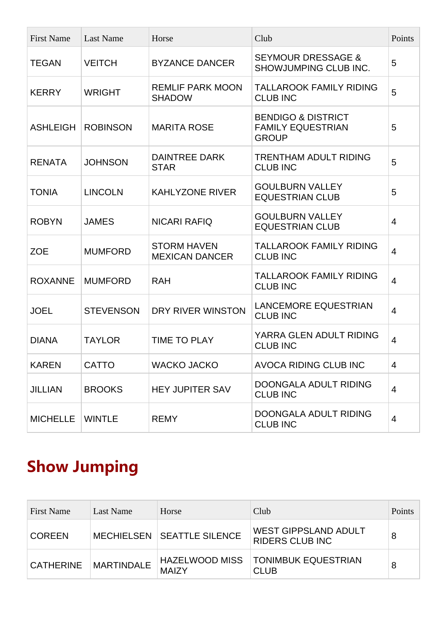| <b>First Name</b> | <b>Last Name</b> | Horse                                       | Club                                                                      | Points         |
|-------------------|------------------|---------------------------------------------|---------------------------------------------------------------------------|----------------|
| <b>TEGAN</b>      | <b>VEITCH</b>    | <b>BYZANCE DANCER</b>                       | <b>SEYMOUR DRESSAGE &amp;</b><br>SHOWJUMPING CLUB INC.                    | 5              |
| <b>KERRY</b>      | <b>WRIGHT</b>    | <b>REMLIF PARK MOON</b><br><b>SHADOW</b>    | <b>TALLAROOK FAMILY RIDING</b><br><b>CLUB INC</b>                         | 5              |
| <b>ASHLEIGH</b>   | <b>ROBINSON</b>  | <b>MARITA ROSE</b>                          | <b>BENDIGO &amp; DISTRICT</b><br><b>FAMILY EQUESTRIAN</b><br><b>GROUP</b> | 5              |
| <b>RENATA</b>     | <b>JOHNSON</b>   | <b>DAINTREE DARK</b><br><b>STAR</b>         | <b>TRENTHAM ADULT RIDING</b><br><b>CLUB INC</b>                           | 5              |
| <b>TONIA</b>      | <b>LINCOLN</b>   | <b>KAHLYZONE RIVER</b>                      | <b>GOULBURN VALLEY</b><br><b>EQUESTRIAN CLUB</b>                          | 5              |
| <b>ROBYN</b>      | <b>JAMES</b>     | <b>NICARI RAFIQ</b>                         | <b>GOULBURN VALLEY</b><br><b>EQUESTRIAN CLUB</b>                          | 4              |
| <b>ZOE</b>        | <b>MUMFORD</b>   | <b>STORM HAVEN</b><br><b>MEXICAN DANCER</b> | <b>TALLAROOK FAMILY RIDING</b><br><b>CLUB INC</b>                         | $\overline{4}$ |
| <b>ROXANNE</b>    | <b>MUMFORD</b>   | <b>RAH</b>                                  | <b>TALLAROOK FAMILY RIDING</b><br><b>CLUB INC</b>                         | 4              |
| <b>JOEL</b>       | <b>STEVENSON</b> | DRY RIVER WINSTON                           | <b>LANCEMORE EQUESTRIAN</b><br><b>CLUB INC</b>                            | $\overline{4}$ |
| <b>DIANA</b>      | <b>TAYLOR</b>    | <b>TIME TO PLAY</b>                         | YARRA GLEN ADULT RIDING<br><b>CLUB INC</b>                                | $\overline{4}$ |
| <b>KAREN</b>      | <b>CATTO</b>     | <b>WACKO JACKO</b>                          | <b>AVOCA RIDING CLUB INC</b>                                              | $\overline{4}$ |
| <b>JILLIAN</b>    | <b>BROOKS</b>    | <b>HEY JUPITER SAV</b>                      | DOONGALA ADULT RIDING<br><b>CLUB INC</b>                                  | $\overline{4}$ |
| <b>MICHELLE</b>   | <b>WINTLE</b>    | <b>REMY</b>                                 | DOONGALA ADULT RIDING<br><b>CLUB INC</b>                                  | 4              |

## **Show Jumping**

| First Name       | Last Name         | Horse                             | Club                                                  | Points |
|------------------|-------------------|-----------------------------------|-------------------------------------------------------|--------|
| <b>COREEN</b>    |                   | <b>MECHIELSEN SEATTLE SILENCE</b> | <b>WEST GIPPSLAND ADULT</b><br><b>RIDERS CLUB INC</b> | 8      |
| <b>CATHERINE</b> | <b>MARTINDALE</b> | HAZELWOOD MISS<br><b>MAIZY</b>    | <b>TONIMBUK EQUESTRIAN</b><br><b>CLUB</b>             | 8      |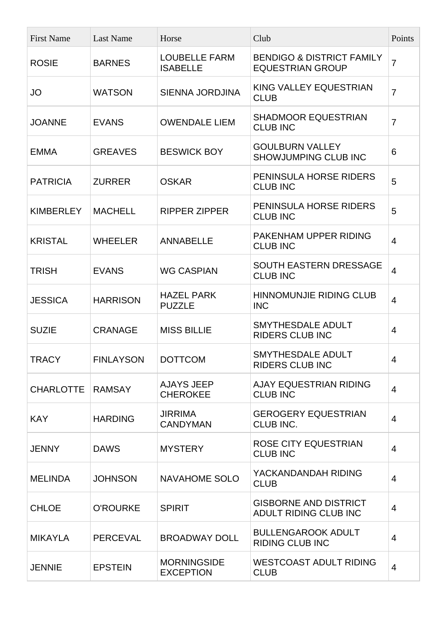| <b>First Name</b> | <b>Last Name</b> | Horse                                   | Club                                                            | Points         |
|-------------------|------------------|-----------------------------------------|-----------------------------------------------------------------|----------------|
| <b>ROSIE</b>      | <b>BARNES</b>    | <b>LOUBELLE FARM</b><br><b>ISABELLE</b> | <b>BENDIGO &amp; DISTRICT FAMILY</b><br><b>EQUESTRIAN GROUP</b> | $\overline{7}$ |
| <b>JO</b>         | <b>WATSON</b>    | <b>SIENNA JORDJINA</b>                  | KING VALLEY EQUESTRIAN<br><b>CLUB</b>                           | $\overline{7}$ |
| <b>JOANNE</b>     | <b>EVANS</b>     | <b>OWENDALE LIEM</b>                    | <b>SHADMOOR EQUESTRIAN</b><br><b>CLUB INC</b>                   | $\overline{7}$ |
| <b>EMMA</b>       | <b>GREAVES</b>   | <b>BESWICK BOY</b>                      | <b>GOULBURN VALLEY</b><br>SHOWJUMPING CLUB INC                  | 6              |
| <b>PATRICIA</b>   | <b>ZURRER</b>    | <b>OSKAR</b>                            | PENINSULA HORSE RIDERS<br><b>CLUB INC</b>                       | 5              |
| <b>KIMBERLEY</b>  | <b>MACHELL</b>   | <b>RIPPER ZIPPER</b>                    | PENINSULA HORSE RIDERS<br><b>CLUB INC</b>                       | 5              |
| <b>KRISTAL</b>    | <b>WHEELER</b>   | <b>ANNABELLE</b>                        | PAKENHAM UPPER RIDING<br><b>CLUB INC</b>                        | $\overline{4}$ |
| <b>TRISH</b>      | <b>EVANS</b>     | <b>WG CASPIAN</b>                       | <b>SOUTH EASTERN DRESSAGE</b><br><b>CLUB INC</b>                | 4              |
| <b>JESSICA</b>    | <b>HARRISON</b>  | <b>HAZEL PARK</b><br><b>PUZZLE</b>      | <b>HINNOMUNJIE RIDING CLUB</b><br><b>INC</b>                    | $\overline{4}$ |
| <b>SUZIE</b>      | <b>CRANAGE</b>   | <b>MISS BILLIE</b>                      | <b>SMYTHESDALE ADULT</b><br><b>RIDERS CLUB INC</b>              | 4              |
| <b>TRACY</b>      | <b>FINLAYSON</b> | <b>DOTTCOM</b>                          | SMYTHESDALE ADULT<br><b>RIDERS CLUB INC</b>                     | 4              |
| <b>CHARLOTTE</b>  | <b>RAMSAY</b>    | <b>AJAYS JEEP</b><br><b>CHEROKEE</b>    | AJAY EQUESTRIAN RIDING<br><b>CLUB INC</b>                       | 4              |
| <b>KAY</b>        | <b>HARDING</b>   | <b>JIRRIMA</b><br><b>CANDYMAN</b>       | <b>GEROGERY EQUESTRIAN</b><br>CLUB INC.                         | 4              |
| <b>JENNY</b>      | <b>DAWS</b>      | <b>MYSTERY</b>                          | <b>ROSE CITY EQUESTRIAN</b><br><b>CLUB INC</b>                  | $\overline{4}$ |
| <b>MELINDA</b>    | <b>JOHNSON</b>   | <b>NAVAHOME SOLO</b>                    | YACKANDANDAH RIDING<br><b>CLUB</b>                              | 4              |
| <b>CHLOE</b>      | <b>O'ROURKE</b>  | <b>SPIRIT</b>                           | <b>GISBORNE AND DISTRICT</b><br>ADULT RIDING CLUB INC           | 4              |
| <b>MIKAYLA</b>    | <b>PERCEVAL</b>  | <b>BROADWAY DOLL</b>                    | <b>BULLENGAROOK ADULT</b><br><b>RIDING CLUB INC</b>             | $\overline{4}$ |
| <b>JENNIE</b>     | <b>EPSTEIN</b>   | <b>MORNINGSIDE</b><br><b>EXCEPTION</b>  | <b>WESTCOAST ADULT RIDING</b><br><b>CLUB</b>                    | $\overline{4}$ |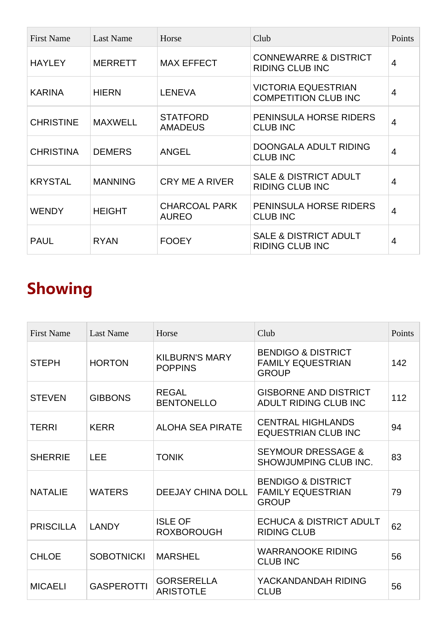| <b>First Name</b> | Last Name      | Horse                                | Club                                                       | Points |
|-------------------|----------------|--------------------------------------|------------------------------------------------------------|--------|
| <b>HAYLEY</b>     | <b>MERRETT</b> | <b>MAX EFFECT</b>                    | <b>CONNEWARRE &amp; DISTRICT</b><br><b>RIDING CLUB INC</b> | 4      |
| <b>KARINA</b>     | <b>HIERN</b>   | <b>LENEVA</b>                        | <b>VICTORIA EQUESTRIAN</b><br><b>COMPETITION CLUB INC</b>  | 4      |
| <b>CHRISTINE</b>  | <b>MAXWELL</b> | <b>STATFORD</b><br><b>AMADEUS</b>    | PENINSULA HORSE RIDERS<br><b>CLUB INC</b>                  | 4      |
| <b>CHRISTINA</b>  | <b>DEMERS</b>  | <b>ANGEL</b>                         | DOONGALA ADULT RIDING<br><b>CLUB INC</b>                   | 4      |
| <b>KRYSTAL</b>    | <b>MANNING</b> | <b>CRY ME A RIVER</b>                | <b>SALE &amp; DISTRICT ADULT</b><br><b>RIDING CLUB INC</b> | 4      |
| <b>WENDY</b>      | <b>HEIGHT</b>  | <b>CHARCOAL PARK</b><br><b>AUREO</b> | PENINSULA HORSE RIDERS<br><b>CLUB INC</b>                  | 4      |
| <b>PAUL</b>       | <b>RYAN</b>    | <b>FOOEY</b>                         | <b>SALE &amp; DISTRICT ADULT</b><br><b>RIDING CLUB INC</b> | 4      |

# **Showing**

| <b>First Name</b> | <b>Last Name</b>  | Horse                                   | Club                                                                      | Points |
|-------------------|-------------------|-----------------------------------------|---------------------------------------------------------------------------|--------|
| <b>STEPH</b>      | <b>HORTON</b>     | <b>KILBURN'S MARY</b><br><b>POPPINS</b> | <b>BENDIGO &amp; DISTRICT</b><br><b>FAMILY EQUESTRIAN</b><br><b>GROUP</b> | 142    |
| <b>STEVEN</b>     | <b>GIBBONS</b>    | <b>REGAL</b><br><b>BENTONELLO</b>       | <b>GISBORNE AND DISTRICT</b><br>ADULT RIDING CLUB INC                     | 112    |
| <b>TERRI</b>      | <b>KERR</b>       | <b>ALOHA SEA PIRATE</b>                 | <b>CENTRAL HIGHLANDS</b><br><b>EQUESTRIAN CLUB INC</b>                    | 94     |
| <b>SHERRIE</b>    | <b>LEE</b>        | <b>TONIK</b>                            | <b>SEYMOUR DRESSAGE &amp;</b><br>SHOWJUMPING CLUB INC.                    | 83     |
| <b>NATALIE</b>    | <b>WATERS</b>     | <b>DEEJAY CHINA DOLL</b>                | <b>BENDIGO &amp; DISTRICT</b><br><b>FAMILY EQUESTRIAN</b><br><b>GROUP</b> | 79     |
| <b>PRISCILLA</b>  | <b>LANDY</b>      | <b>ISLE OF</b><br><b>ROXBOROUGH</b>     | <b>ECHUCA &amp; DISTRICT ADULT</b><br><b>RIDING CLUB</b>                  | 62     |
| <b>CHLOE</b>      | <b>SOBOTNICKI</b> | <b>MARSHEL</b>                          | <b>WARRANOOKE RIDING</b><br><b>CLUB INC</b>                               | 56     |
| <b>MICAELI</b>    | <b>GASPEROTTI</b> | <b>GORSERELLA</b><br><b>ARISTOTLE</b>   | YACKANDANDAH RIDING<br><b>CLUB</b>                                        | 56     |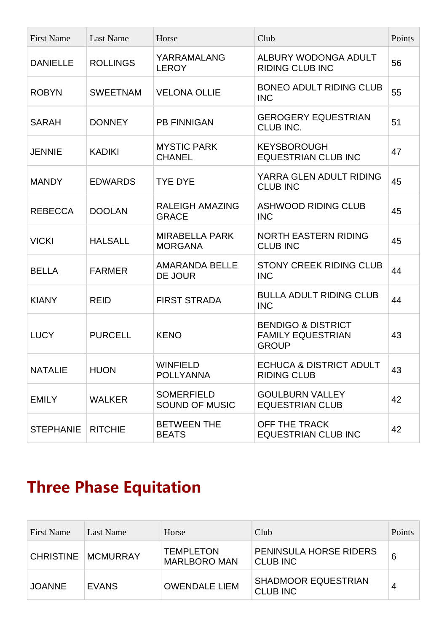| <b>First Name</b> | <b>Last Name</b> | Horse                                      | Club                                                                      | Points |
|-------------------|------------------|--------------------------------------------|---------------------------------------------------------------------------|--------|
| <b>DANIELLE</b>   | <b>ROLLINGS</b>  | YARRAMALANG<br><b>LEROY</b>                | ALBURY WODONGA ADULT<br><b>RIDING CLUB INC</b>                            | 56     |
| <b>ROBYN</b>      | <b>SWEETNAM</b>  | <b>VELONA OLLIE</b>                        | <b>BONEO ADULT RIDING CLUB</b><br><b>INC</b>                              | 55     |
| <b>SARAH</b>      | <b>DONNEY</b>    | <b>PB FINNIGAN</b>                         | <b>GEROGERY EQUESTRIAN</b><br>CLUB INC.                                   | 51     |
| <b>JENNIE</b>     | <b>KADIKI</b>    | <b>MYSTIC PARK</b><br><b>CHANEL</b>        | <b>KEYSBOROUGH</b><br><b>EQUESTRIAN CLUB INC</b>                          | 47     |
| <b>MANDY</b>      | <b>EDWARDS</b>   | <b>TYE DYE</b>                             | YARRA GLEN ADULT RIDING<br><b>CLUB INC</b>                                | 45     |
| <b>REBECCA</b>    | <b>DOOLAN</b>    | <b>RALEIGH AMAZING</b><br><b>GRACE</b>     | <b>ASHWOOD RIDING CLUB</b><br><b>INC</b>                                  | 45     |
| <b>VICKI</b>      | <b>HALSALL</b>   | <b>MIRABELLA PARK</b><br><b>MORGANA</b>    | <b>NORTH EASTERN RIDING</b><br><b>CLUB INC</b>                            | 45     |
| <b>BELLA</b>      | <b>FARMER</b>    | <b>AMARANDA BELLE</b><br>DE JOUR           | <b>STONY CREEK RIDING CLUB</b><br><b>INC</b>                              | 44     |
| <b>KIANY</b>      | <b>REID</b>      | <b>FIRST STRADA</b>                        | <b>BULLA ADULT RIDING CLUB</b><br><b>INC</b>                              | 44     |
| <b>LUCY</b>       | <b>PURCELL</b>   | <b>KENO</b>                                | <b>BENDIGO &amp; DISTRICT</b><br><b>FAMILY EQUESTRIAN</b><br><b>GROUP</b> | 43     |
| <b>NATALIE</b>    | <b>HUON</b>      | <b>WINFIELD</b><br><b>POLLYANNA</b>        | <b>ECHUCA &amp; DISTRICT ADULT</b><br><b>RIDING CLUB</b>                  | 43     |
| <b>EMILY</b>      | <b>WALKER</b>    | <b>SOMERFIELD</b><br><b>SOUND OF MUSIC</b> | <b>GOULBURN VALLEY</b><br><b>EQUESTRIAN CLUB</b>                          | 42     |
| <b>STEPHANIE</b>  | <b>RITCHIE</b>   | <b>BETWEEN THE</b><br><b>BEATS</b>         | OFF THE TRACK<br><b>EQUESTRIAN CLUB INC</b>                               | 42     |

# **Three Phase Equitation**

| <b>First Name</b> | Last Name       | Horse                                   | Club                                             | Points |
|-------------------|-----------------|-----------------------------------------|--------------------------------------------------|--------|
| <b>CHRISTINE</b>  | <b>MCMURRAY</b> | <b>TEMPLETON</b><br><b>MARLBORO MAN</b> | <b>PENINSULA HORSE RIDERS</b><br><b>CLUB INC</b> | 6      |
| <b>JOANNE</b>     | <b>EVANS</b>    | <b>OWENDALE LIEM</b>                    | <b>SHADMOOR EQUESTRIAN</b><br><b>CLUB INC</b>    | 4      |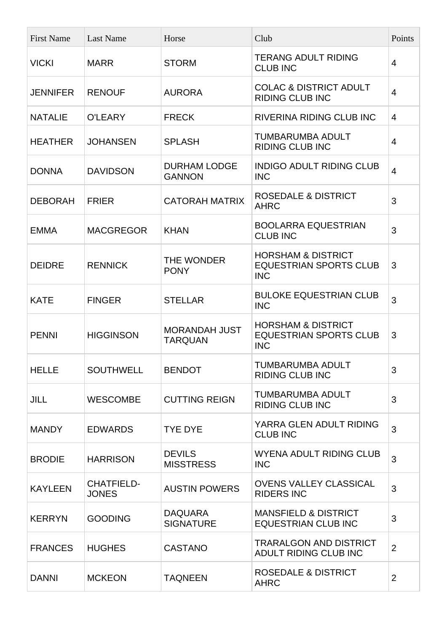| <b>First Name</b> | <b>Last Name</b>                  | Horse                                  | Club                                                                         | Points         |
|-------------------|-----------------------------------|----------------------------------------|------------------------------------------------------------------------------|----------------|
| <b>VICKI</b>      | <b>MARR</b>                       | <b>STORM</b>                           | <b>TERANG ADULT RIDING</b><br><b>CLUB INC</b>                                | $\overline{4}$ |
| <b>JENNIFER</b>   | <b>RENOUF</b>                     | <b>AURORA</b>                          | <b>COLAC &amp; DISTRICT ADULT</b><br><b>RIDING CLUB INC</b>                  | $\overline{4}$ |
| <b>NATALIE</b>    | O'LEARY                           | <b>FRECK</b>                           | RIVERINA RIDING CLUB INC                                                     | 4              |
| <b>HEATHER</b>    | <b>JOHANSEN</b>                   | <b>SPLASH</b>                          | <b>TUMBARUMBA ADULT</b><br><b>RIDING CLUB INC</b>                            | 4              |
| <b>DONNA</b>      | <b>DAVIDSON</b>                   | <b>DURHAM LODGE</b><br><b>GANNON</b>   | <b>INDIGO ADULT RIDING CLUB</b><br><b>INC</b>                                | $\overline{4}$ |
| <b>DEBORAH</b>    | <b>FRIER</b>                      | <b>CATORAH MATRIX</b>                  | <b>ROSEDALE &amp; DISTRICT</b><br><b>AHRC</b>                                | 3              |
| <b>EMMA</b>       | <b>MACGREGOR</b>                  | <b>KHAN</b>                            | <b>BOOLARRA EQUESTRIAN</b><br><b>CLUB INC</b>                                | 3              |
| <b>DEIDRE</b>     | <b>RENNICK</b>                    | THE WONDER<br><b>PONY</b>              | <b>HORSHAM &amp; DISTRICT</b><br><b>EQUESTRIAN SPORTS CLUB</b><br><b>INC</b> | 3              |
| <b>KATE</b>       | <b>FINGER</b>                     | <b>STELLAR</b>                         | <b>BULOKE EQUESTRIAN CLUB</b><br><b>INC</b>                                  | 3              |
| <b>PENNI</b>      | <b>HIGGINSON</b>                  | <b>MORANDAH JUST</b><br><b>TARQUAN</b> | <b>HORSHAM &amp; DISTRICT</b><br><b>EQUESTRIAN SPORTS CLUB</b><br><b>INC</b> | 3              |
| <b>HELLE</b>      | <b>SOUTHWELL</b>                  | <b>BENDOT</b>                          | TUMBARUMBA ADULT<br><b>RIDING CLUB INC</b>                                   | 3              |
| <b>JILL</b>       | <b>WESCOMBE</b>                   | <b>CUTTING REIGN</b>                   | <b>TUMBARUMBA ADULT</b><br><b>RIDING CLUB INC</b>                            | 3              |
| <b>MANDY</b>      | <b>EDWARDS</b>                    | <b>TYE DYE</b>                         | YARRA GLEN ADULT RIDING<br><b>CLUB INC</b>                                   | 3              |
| <b>BRODIE</b>     | <b>HARRISON</b>                   | <b>DEVILS</b><br><b>MISSTRESS</b>      | <b>WYENA ADULT RIDING CLUB</b><br><b>INC</b>                                 | 3              |
| <b>KAYLEEN</b>    | <b>CHATFIELD-</b><br><b>JONES</b> | <b>AUSTIN POWERS</b>                   | <b>OVENS VALLEY CLASSICAL</b><br><b>RIDERS INC</b>                           | 3              |
| <b>KERRYN</b>     | <b>GOODING</b>                    | <b>DAQUARA</b><br><b>SIGNATURE</b>     | <b>MANSFIELD &amp; DISTRICT</b><br><b>EQUESTRIAN CLUB INC</b>                | 3              |
| <b>FRANCES</b>    | <b>HUGHES</b>                     | <b>CASTANO</b>                         | <b>TRARALGON AND DISTRICT</b><br>ADULT RIDING CLUB INC                       | $\overline{2}$ |
| <b>DANNI</b>      | <b>MCKEON</b>                     | <b>TAQNEEN</b>                         | <b>ROSEDALE &amp; DISTRICT</b><br><b>AHRC</b>                                | $\overline{2}$ |